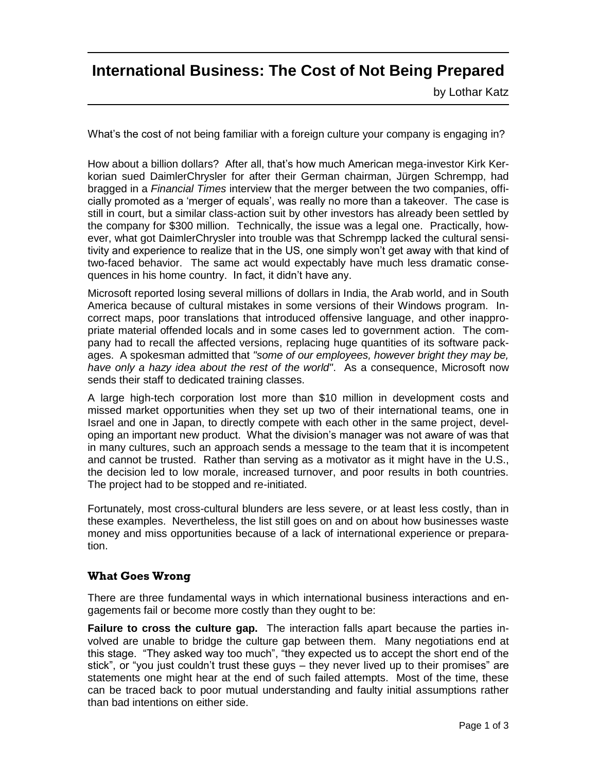# **International Business: The Cost of Not Being Prepared**

by Lothar Katz

What's the cost of not being familiar with a foreign culture your company is engaging in?

How about a billion dollars? After all, that's how much American mega-investor Kirk Kerkorian sued DaimlerChrysler for after their German chairman, Jürgen Schrempp, had bragged in a *Financial Times* interview that the merger between the two companies, officially promoted as a 'merger of equals', was really no more than a takeover. The case is still in court, but a similar class-action suit by other investors has already been settled by the company for \$300 million. Technically, the issue was a legal one. Practically, however, what got DaimlerChrysler into trouble was that Schrempp lacked the cultural sensitivity and experience to realize that in the US, one simply won't get away with that kind of two-faced behavior. The same act would expectably have much less dramatic consequences in his home country. In fact, it didn't have any.

Microsoft reported losing several millions of dollars in India, the Arab world, and in South America because of cultural mistakes in some versions of their Windows program. Incorrect maps, poor translations that introduced offensive language, and other inappropriate material offended locals and in some cases led to government action. The company had to recall the affected versions, replacing huge quantities of its software packages. A spokesman admitted that *"some of our employees, however bright they may be, have only a hazy idea about the rest of the world"*. As a consequence, Microsoft now sends their staff to dedicated training classes.

A large high-tech corporation lost more than \$10 million in development costs and missed market opportunities when they set up two of their international teams, one in Israel and one in Japan, to directly compete with each other in the same project, developing an important new product. What the division's manager was not aware of was that in many cultures, such an approach sends a message to the team that it is incompetent and cannot be trusted. Rather than serving as a motivator as it might have in the U.S., the decision led to low morale, increased turnover, and poor results in both countries. The project had to be stopped and re-initiated.

Fortunately, most cross-cultural blunders are less severe, or at least less costly, than in these examples. Nevertheless, the list still goes on and on about how businesses waste money and miss opportunities because of a lack of international experience or preparation.

# **What Goes Wrong**

There are three fundamental ways in which international business interactions and engagements fail or become more costly than they ought to be:

**Failure to cross the culture gap.** The interaction falls apart because the parties involved are unable to bridge the culture gap between them. Many negotiations end at this stage. "They asked way too much", "they expected us to accept the short end of the stick", or "you just couldn't trust these guys – they never lived up to their promises" are statements one might hear at the end of such failed attempts. Most of the time, these can be traced back to poor mutual understanding and faulty initial assumptions rather than bad intentions on either side.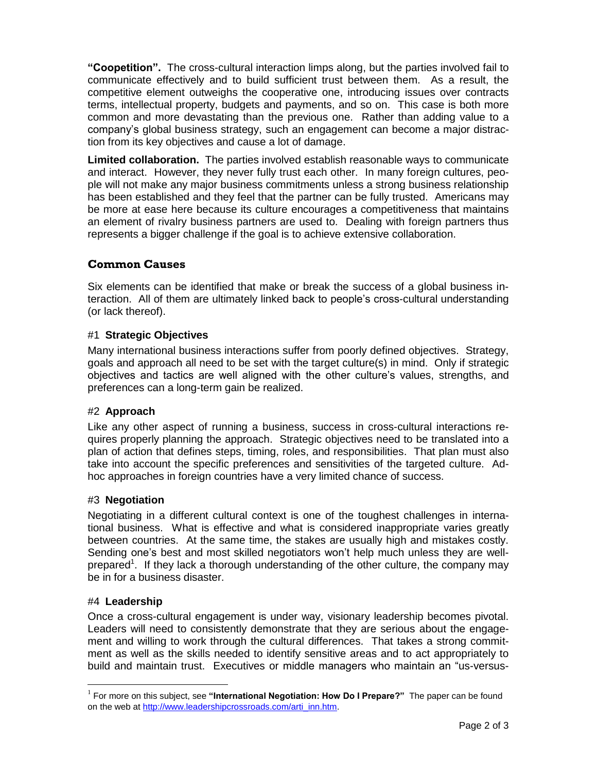**"Coopetition".** The cross-cultural interaction limps along, but the parties involved fail to communicate effectively and to build sufficient trust between them. As a result, the competitive element outweighs the cooperative one, introducing issues over contracts terms, intellectual property, budgets and payments, and so on. This case is both more common and more devastating than the previous one. Rather than adding value to a company's global business strategy, such an engagement can become a major distraction from its key objectives and cause a lot of damage.

**Limited collaboration.** The parties involved establish reasonable ways to communicate and interact. However, they never fully trust each other. In many foreign cultures, people will not make any major business commitments unless a strong business relationship has been established and they feel that the partner can be fully trusted. Americans may be more at ease here because its culture encourages a competitiveness that maintains an element of rivalry business partners are used to. Dealing with foreign partners thus represents a bigger challenge if the goal is to achieve extensive collaboration.

# **Common Causes**

Six elements can be identified that make or break the success of a global business interaction. All of them are ultimately linked back to people's cross-cultural understanding (or lack thereof).

## #1 **Strategic Objectives**

Many international business interactions suffer from poorly defined objectives. Strategy, goals and approach all need to be set with the target culture(s) in mind. Only if strategic objectives and tactics are well aligned with the other culture's values, strengths, and preferences can a long-term gain be realized.

#### #2 **Approach**

Like any other aspect of running a business, success in cross-cultural interactions requires properly planning the approach. Strategic objectives need to be translated into a plan of action that defines steps, timing, roles, and responsibilities. That plan must also take into account the specific preferences and sensitivities of the targeted culture. Adhoc approaches in foreign countries have a very limited chance of success.

#### #3 **Negotiation**

Negotiating in a different cultural context is one of the toughest challenges in international business. What is effective and what is considered inappropriate varies greatly between countries. At the same time, the stakes are usually high and mistakes costly. Sending one's best and most skilled negotiators won't help much unless they are wellprepared<sup>1</sup>. If they lack a thorough understanding of the other culture, the company may be in for a business disaster.

#### #4 **Leadership**

Once a cross-cultural engagement is under way, visionary leadership becomes pivotal. Leaders will need to consistently demonstrate that they are serious about the engagement and willing to work through the cultural differences. That takes a strong commitment as well as the skills needed to identify sensitive areas and to act appropriately to build and maintain trust. Executives or middle managers who maintain an "us-versus-

<sup>&</sup>lt;sup>1</sup> For more on this subject, see "**International Negotiation: How Do I Prepare?**" The paper can be found on the web at http://www.leadershipcrossroads.com/arti\_inn.htm.